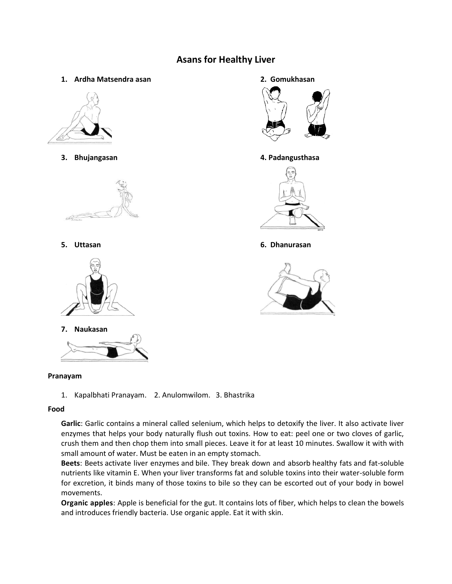# **Asans for Healthy Liver**

**1. Ardha Matsendra asan 2. Gomukhasan**







**7. Naukasan**



## **Pranayam**

1. Kapalbhati Pranayam. 2. Anulomwilom. 3. Bhastrika

# **Food**

**Garlic**: Garlic contains a mineral called [selenium,](https://ods.od.nih.gov/factsheets/Selenium-HealthProfessional/) which helps to detoxify the liver. It also activate liver enzymes that helps your body naturally flush out toxins. How to eat: peel one or two cloves of garlic, crush them and then chop them into small pieces. Leave it for at least 10 minutes. Swallow it with with small amount of water. Must be eaten in an empty stomach.

**Beets**: Beets activate liver enzymes and [bile.](https://naldc.nal.usda.gov/download/671/PDF) They break down and absorb [healthy fats](https://www.wellandgood.com/good-food/guide-to-healthy-fats/) and fat-soluble nutrients like vitamin E. When your liver transforms fat and soluble toxins into their water-soluble form for excretion, it binds many of those toxins to bile so they can be escorted out of your body in bowel movements.

**Organic apples**: Apple is beneficial for the gut. It contains lots of [fiber,](https://www.wellandgood.com/good-advice/fiber-helps-gut-health-microbiota/) which helps to clean the bowels and introduces friendly bacteria. Use organic apple. Eat it with skin.



## **3. Bhujangasan 4. Padangusthasa**



**5. Uttasan 6. Dhanurasan**